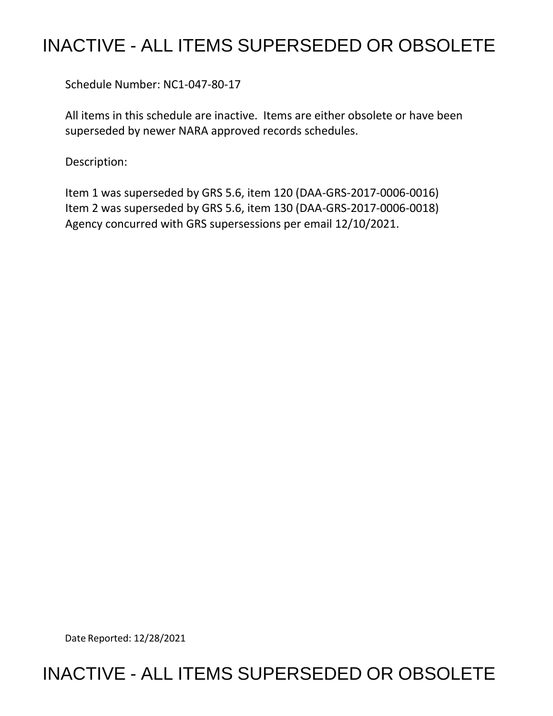## INACTIVE - ALL ITEMS SUPERSEDED OR OBSOLETE

Schedule Number: NC1-047-80-17

All items in this schedule are inactive. Items are either obsolete or have been superseded by newer NARA approved records schedules.

Description:

Item 1 was superseded by GRS 5.6, item 120 (DAA-GRS-2017-0006-0016) Item 2 was superseded by GRS 5.6, item 130 (DAA-GRS-2017-0006-0018) Agency concurred with GRS supersessions per email 12/10/2021.

Date Reported: 12/28/2021

## INACTIVE - ALL ITEMS SUPERSEDED OR OBSOLETE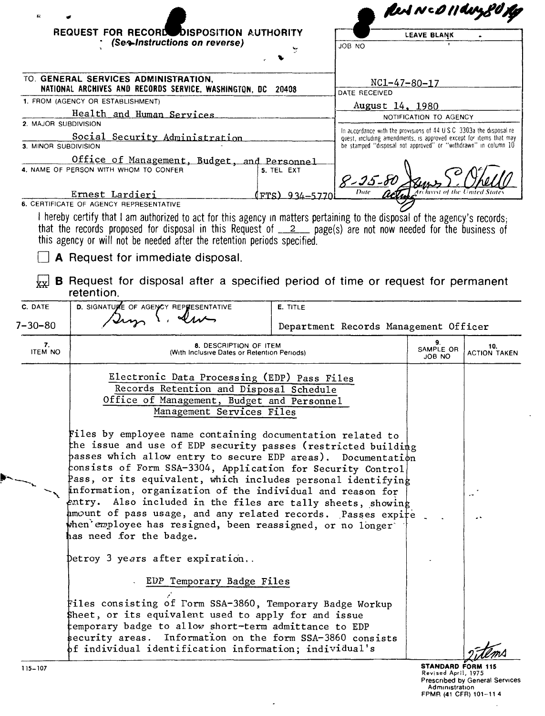|                                                                                                        |                                                                                                                                                                                                                                                                                                                                                                                                                                                                                                                                                                                                                    |                              |                                                                                                                                                                                                                           | Peut Nco 11 day 80, |                            |  |  |
|--------------------------------------------------------------------------------------------------------|--------------------------------------------------------------------------------------------------------------------------------------------------------------------------------------------------------------------------------------------------------------------------------------------------------------------------------------------------------------------------------------------------------------------------------------------------------------------------------------------------------------------------------------------------------------------------------------------------------------------|------------------------------|---------------------------------------------------------------------------------------------------------------------------------------------------------------------------------------------------------------------------|---------------------|----------------------------|--|--|
|                                                                                                        | <b>REQUEST FOR RECORD DISPOSITION AUTHORITY</b>                                                                                                                                                                                                                                                                                                                                                                                                                                                                                                                                                                    |                              |                                                                                                                                                                                                                           | LEAVE BLANK         |                            |  |  |
|                                                                                                        | (Se≁Instructions on reverse)                                                                                                                                                                                                                                                                                                                                                                                                                                                                                                                                                                                       |                              | JOB NO                                                                                                                                                                                                                    |                     |                            |  |  |
|                                                                                                        |                                                                                                                                                                                                                                                                                                                                                                                                                                                                                                                                                                                                                    |                              |                                                                                                                                                                                                                           |                     |                            |  |  |
| TO. GENERAL SERVICES ADMINISTRATION,<br>NATIONAL ARCHIVES AND RECORDS SERVICE, WASHINGTON, DC<br>20408 |                                                                                                                                                                                                                                                                                                                                                                                                                                                                                                                                                                                                                    |                              | $NC1 - 47 - 80 - 17$<br>DATE RECEIVED                                                                                                                                                                                     |                     |                            |  |  |
| 1. FROM (AGENCY OR ESTABLISHMENT)                                                                      |                                                                                                                                                                                                                                                                                                                                                                                                                                                                                                                                                                                                                    |                              | August 14, 1980                                                                                                                                                                                                           |                     |                            |  |  |
| Health and Human Services<br>2. MAJOR SUBDIVISION                                                      |                                                                                                                                                                                                                                                                                                                                                                                                                                                                                                                                                                                                                    |                              | NOTIFICATION TO AGENCY                                                                                                                                                                                                    |                     |                            |  |  |
| Social Security Administration<br>3. MINOR SUBDIVISION                                                 |                                                                                                                                                                                                                                                                                                                                                                                                                                                                                                                                                                                                                    |                              | In accordance with the provisions of 44 $\overline{u}$ S C 3303a the disposal re-<br>quest, including amendments, is approved except for items that may<br>be stamped "disposal not approved" or "withdrawn" in column 10 |                     |                            |  |  |
|                                                                                                        | Office of Management, Budget, and Personnel<br>4. NAME OF PERSON WITH WHOM TO CONFER<br>Ernest Lardieri                                                                                                                                                                                                                                                                                                                                                                                                                                                                                                            | 5. TEL EXT<br>(ፑፐs) 934–5770 | $8 - 25 - 8$                                                                                                                                                                                                              |                     |                            |  |  |
|                                                                                                        | 6. CERTIFICATE OF AGENCY REPRESENTATIVE<br>I hereby certify that I am authorized to act for this agency in matters pertaining to the disposal of the agency's records;<br>that the records proposed for disposal in this Request of $2$ page(s) are not now needed for the business of<br>this agency or will not be needed after the retention periods specified.                                                                                                                                                                                                                                                 |                              |                                                                                                                                                                                                                           |                     |                            |  |  |
|                                                                                                        | A Request for immediate disposal.                                                                                                                                                                                                                                                                                                                                                                                                                                                                                                                                                                                  |                              |                                                                                                                                                                                                                           |                     |                            |  |  |
| ∤x√                                                                                                    | B Request for disposal after a specified period of time or request for permanent<br>retention.                                                                                                                                                                                                                                                                                                                                                                                                                                                                                                                     |                              |                                                                                                                                                                                                                           |                     |                            |  |  |
| C. DATE                                                                                                | D. SIGNATURE OF AGENCY REPRESENTATIVE                                                                                                                                                                                                                                                                                                                                                                                                                                                                                                                                                                              | E. TITLE                     |                                                                                                                                                                                                                           |                     |                            |  |  |
| $7 - 30 - 80$                                                                                          |                                                                                                                                                                                                                                                                                                                                                                                                                                                                                                                                                                                                                    |                              | Department Records Management Officer                                                                                                                                                                                     |                     |                            |  |  |
| 7.<br><b>ITEM NO</b>                                                                                   | 8. DESCRIPTION OF ITEM<br>(With Inclusive Dates or Retention Periods)                                                                                                                                                                                                                                                                                                                                                                                                                                                                                                                                              |                              |                                                                                                                                                                                                                           |                     | 10.<br><b>ACTION TAKEN</b> |  |  |
|                                                                                                        | Electronic Data Processing (EDP) Pass Files<br>Records Retention and Disposal Schedule<br>Office of Management, Budget and Personnel<br>Management Services Files                                                                                                                                                                                                                                                                                                                                                                                                                                                  |                              |                                                                                                                                                                                                                           |                     |                            |  |  |
|                                                                                                        | Files by employee name containing documentation related to<br>the issue and use of EDP security passes (restricted building<br>basses which allow entry to secure EDP areas).<br>Documentation<br>consists of Form SSA-3304, Application for Security Control<br>Pass, or its equivalent, which includes personal identifying<br>information, organization of the individual and reason for<br>entry. Also included in the files are tally sheets, showing<br>amount of pass usage, and any related records. Passes expite<br>when employee has resigned, been reassigned, or no longer<br>has need for the badge. |                              |                                                                                                                                                                                                                           |                     |                            |  |  |
|                                                                                                        | Detroy 3 years after expiration                                                                                                                                                                                                                                                                                                                                                                                                                                                                                                                                                                                    |                              |                                                                                                                                                                                                                           |                     |                            |  |  |
|                                                                                                        | EDP Temporary Badge Files                                                                                                                                                                                                                                                                                                                                                                                                                                                                                                                                                                                          |                              |                                                                                                                                                                                                                           |                     |                            |  |  |
|                                                                                                        | Files consisting of Form SSA-3860, Temporary Badge Workup<br>Sheet, or its equivalent used to apply for and issue<br>temporary badge to allow short-term admittance to EDP<br>security areas. Information on the form SSA-3860 consists<br>$\mathfrak b$ f individual identification information; individual's                                                                                                                                                                                                                                                                                                     |                              |                                                                                                                                                                                                                           |                     |                            |  |  |
|                                                                                                        |                                                                                                                                                                                                                                                                                                                                                                                                                                                                                                                                                                                                                    |                              |                                                                                                                                                                                                                           |                     |                            |  |  |

 $\overline{\phantom{a}}$ 

Þ ∼.

Prescribed by General Services<br>Administration<br>FPMR (41 CFR) 101-11 4

 $\hat{\mathcal{L}}$ 

 $\hat{\mathcal{L}}$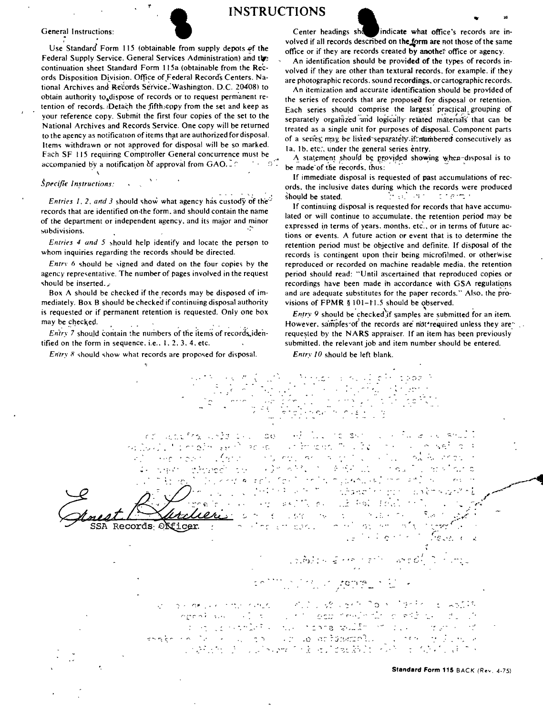

General Instructions:<br>
Use Standard Form 115 (obtainable from supply depots  $\frac{15}{2}$  the Use Standard Form 115 (obtainable from supply depots  $\frac{15}{2}$  the Federal Supply Service, General Services Administration) and th Use Standard Form 115 (obtainable from supply depots of the Federal Supply Service. General Services Administration) and the continuation sheet Standard Form I I 5a (obtainable from the Records Disposition Division. Office of Federal Records Centers. National Archives and Records Service. Washington. D.C. 20408) to obtain authority to dispose of records or to request permanent retention of records. :Detach the fifth:copy from the set and keep as your reference copy. Submit the first four copies of the set to the National Archives and Records Service. One copy will be returned to the agency as notification of items that are authorized for disposal. ltem5 withdrawn or not approved for disposal will be so marked. Fach SF 115 requiring Comptroller General concurrence must be<br>accompanied by a notification of approval from GAO. accompanied by a notification of approval from  $GAO$ ,  $\cap$ 

## $Specific\; Instruments$ :  $\Delta \sim 10^4$

\

*Entries 1.2. and 3 should show what agency has custody of the*<sup> $\circ$ </sup> records that are identified on the form, and should contain the name of the department or independent agency, and its major and minor ~bdivisions.

*Entries 4 and 5* should help identify and locate the person to whom inquiries regarding the records should be directed.

*Entry* 6 should be signed and dated on the four copies by the agency representative. The number of pages involved in the request should be inserted. $\lambda$ 

Box A should be checked if the records may be disposed of immediately. Box B should be checked if continuing disposal authority is requested or if permanent retention is requested. Only one box may be checked.  $\qquad \qquad \ldots$ 

*Entry* 7 should contain the numbers of the items of records identified on the form in sequence, i.e.,  $1, 2, 3, 4$ , etc.

*Entry 8* should show what records are proposed for disposal.

volved if all records described on the form are not those of the same office or if they are records created by another office or agency.

An identification should be provided of the types of records involved if they are other than textural records. for example. if they are photographic records. sound recordings. or cartographic records.

An itemization and accurate identification should be provided of the series of records that are proposed for disposal or retention. Each series should comprise the largest practical grouping of separately organized and logically related materials that can be treated as a single unit for purposes of disposal. Component parts of a series: may be listed separately.if:mimbered consecutively as 1a. 1b. etc., under the general series entry.

A statement should be provided showing when-disposal is to be made of the records. thus:

If immediate disposal is requested of **past** accumulations of records. the inclusive dates during which the records were produced should be stated.  $\mathbf{r} \in \mathbb{R}^n$  , and  $\mathbf{r} \in \mathbb{R}^n$ 

If continuing disposal is requested for records that have accumulated or will continue to accumulate, the retention period may be expressed in terms of years. months. etc., or in terms of future actions or events. A future action or event that is to determine the retention period must be objective and definite. If disposal of the records is contingent upon their being microfilmed. or otherwise reproduced or recorded on machine readable media. the retention period should read: "Until ascertained that reproduced copies or recordings have been made in accordance with GSA regulations. and are adequate substitutes for the paper records." Also. the provisions of FPMR § 101-11.5 should be observed.

*Entry 9* should be checked if samples are submitted for an item. However. samples of the records are not required unless they are: requested by the **NA RS** appraiser. If an item has been previously submitted, the relevant job and item number should be entered.

*Entry /0* should be left blank.

 $\mathbb{S}^{n_1\times n_2}$ ੍ਰਾਂਸ ਸਿੰਘ ਦਾ ਪੰਚ ਬਲਾ  $30<sub>1</sub>$ W  $\pm$  0  $^\circ$ 人名戈 in the gan Tri  $\sim 5\,\mathrm{g}$  $\label{eq:1} S_{\rm{max}} = \frac{1}{2} \left( \frac{1}{2} \left( \frac{1}{2} \right) - \frac{1}{2} \left( \frac{1}{2} \right) \left( \frac{1}{2} \right) - \frac{1}{2} \left( \frac{1}{2} \right) \left( \frac{1}{2} \right) \right)$  $\sim$   $\pm$  $2^{3n}$  $\mathfrak{D}(\mathcal{C})\rightarrow \mathfrak{C}(\mathcal{C})$  $\gamma$  and <u>(д</u>. Site Provider in a line of the store  $\gamma \lesssim_{\rm in} \gamma$  $\sim 30$  GeV and 的复数医感觉 is an office dirinde)  $\tilde{\gamma}$  ,  $\tilde{\gamma}$  $\mathcal{F}(\mathcal{F})$  is a substituted from  $\mathbb{R}^{d}$  . So the *Least Allee's feel* , .. --. .. ..,.. .. \_, .... :. <sup>~</sup>-:,\_' - "<> '~, "/ ,,. i. ~/,,,,...,...  $\sqrt{2\pi}$  ,  $\overline{2}$  $\sim 10^{-2}$  . - 注下室 長江  $\mathfrak{g} \in \mathbb{R}^{n \times n}$  .  $\mathfrak{g}_{\infty}$ . . . . .  $\mathcal{L}$  . こうしお バイン  $\zeta$ SSA Records Officer ne en absolución  $\langle \hat{z}_T \rangle = \hat{z}_T \hat{z}_T$ 

(១.កំ) គេ ឆ្នាំ កាត់ កន្លក់កា

- , ,.. . "' うちゃくしん かたいかれる こうどこう アクセンター こうき  $\mathcal{O}_{\mathcal{A}}$  and  $\mathcal{O}_{\mathcal{A}}$  $\frac{d}{dx}$ erest val 计时间 计时间结构 when the state of the  $\tau^* \circ \tau^* \circ \tau^* \circ \tau^* \circ \tau^* \circ \tau^* \circ \tau^* \circ \tau^* \circ \tau^* \circ \tau^* \circ \tau^* \circ \tau^* \circ \tau^* \circ \tau^* \circ \tau^* \circ \tau^* \circ \tau^* \circ \tau^* \circ \tau^* \circ \tau^* \circ \tau^* \circ \tau^* \circ \tau^* \circ \tau^* \circ \tau^* \circ \tau^* \circ \tau^* \circ \tau^* \circ \tau^* \circ \tau^* \circ \tau^* \circ \tau^* \circ \tau^* \circ \tau^* \circ \tau^* \circ \tau^* \circ \tau^*$ 

**Standard Form 115** BACK (Rev. 4-751

\_,~